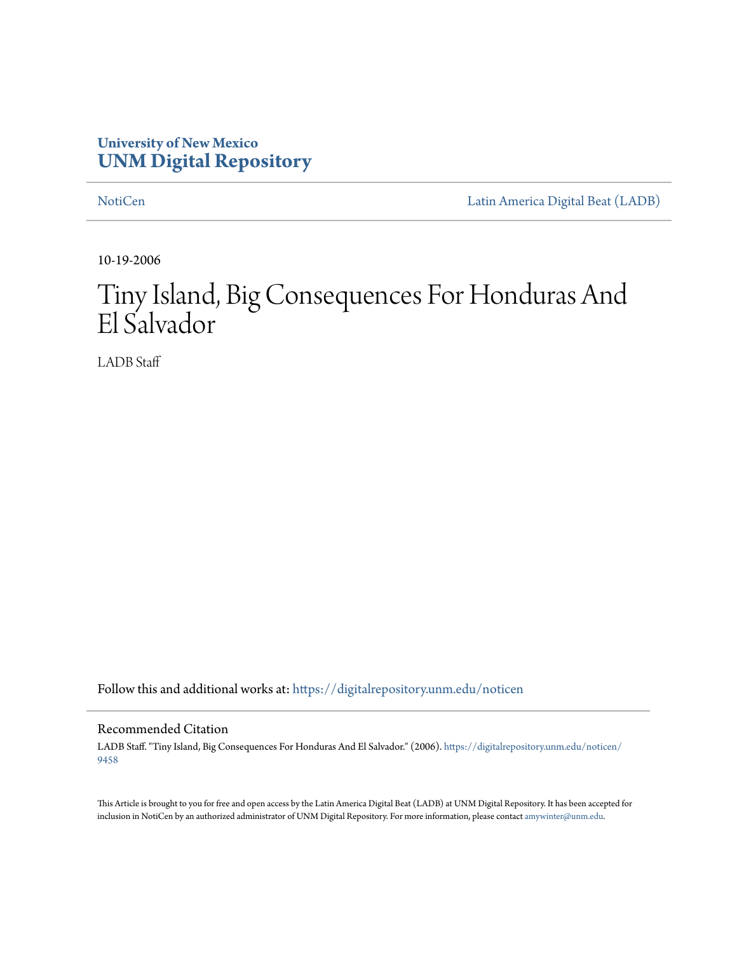### **University of New Mexico [UNM Digital Repository](https://digitalrepository.unm.edu/?utm_source=digitalrepository.unm.edu%2Fnoticen%2F9458&utm_medium=PDF&utm_campaign=PDFCoverPages)**

[NotiCen](https://digitalrepository.unm.edu/noticen?utm_source=digitalrepository.unm.edu%2Fnoticen%2F9458&utm_medium=PDF&utm_campaign=PDFCoverPages) [Latin America Digital Beat \(LADB\)](https://digitalrepository.unm.edu/ladb?utm_source=digitalrepository.unm.edu%2Fnoticen%2F9458&utm_medium=PDF&utm_campaign=PDFCoverPages)

10-19-2006

# Tiny Island, Big Consequences For Honduras And El Salvador

LADB Staff

Follow this and additional works at: [https://digitalrepository.unm.edu/noticen](https://digitalrepository.unm.edu/noticen?utm_source=digitalrepository.unm.edu%2Fnoticen%2F9458&utm_medium=PDF&utm_campaign=PDFCoverPages)

#### Recommended Citation

LADB Staff. "Tiny Island, Big Consequences For Honduras And El Salvador." (2006). [https://digitalrepository.unm.edu/noticen/](https://digitalrepository.unm.edu/noticen/9458?utm_source=digitalrepository.unm.edu%2Fnoticen%2F9458&utm_medium=PDF&utm_campaign=PDFCoverPages) [9458](https://digitalrepository.unm.edu/noticen/9458?utm_source=digitalrepository.unm.edu%2Fnoticen%2F9458&utm_medium=PDF&utm_campaign=PDFCoverPages)

This Article is brought to you for free and open access by the Latin America Digital Beat (LADB) at UNM Digital Repository. It has been accepted for inclusion in NotiCen by an authorized administrator of UNM Digital Repository. For more information, please contact [amywinter@unm.edu](mailto:amywinter@unm.edu).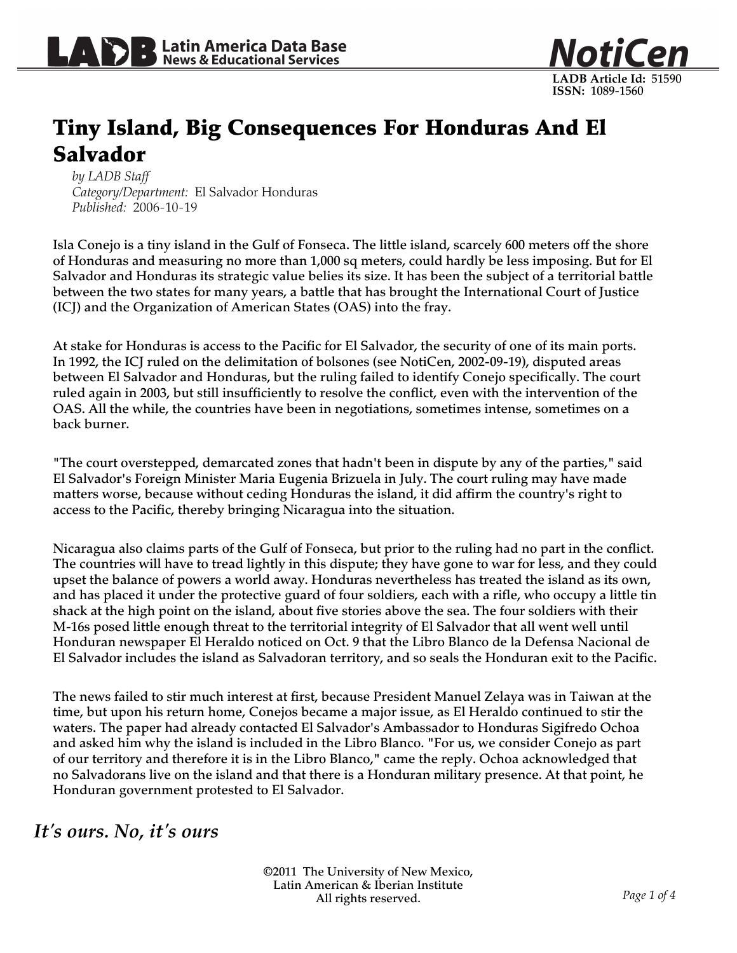

## Tiny Island, Big Consequences For Honduras And El Salvador

*by LADB Staff Category/Department:* El Salvador Honduras *Published:* 2006-10-19

Isla Conejo is a tiny island in the Gulf of Fonseca. The little island, scarcely 600 meters off the shore of Honduras and measuring no more than 1,000 sq meters, could hardly be less imposing. But for El Salvador and Honduras its strategic value belies its size. It has been the subject of a territorial battle between the two states for many years, a battle that has brought the International Court of Justice (ICJ) and the Organization of American States (OAS) into the fray.

At stake for Honduras is access to the Pacific for El Salvador, the security of one of its main ports. In 1992, the ICJ ruled on the delimitation of bolsones (see NotiCen, 2002-09-19), disputed areas between El Salvador and Honduras, but the ruling failed to identify Conejo specifically. The court ruled again in 2003, but still insufficiently to resolve the conflict, even with the intervention of the OAS. All the while, the countries have been in negotiations, sometimes intense, sometimes on a back burner.

"The court overstepped, demarcated zones that hadn't been in dispute by any of the parties," said El Salvador's Foreign Minister Maria Eugenia Brizuela in July. The court ruling may have made matters worse, because without ceding Honduras the island, it did affirm the country's right to access to the Pacific, thereby bringing Nicaragua into the situation.

Nicaragua also claims parts of the Gulf of Fonseca, but prior to the ruling had no part in the conflict. The countries will have to tread lightly in this dispute; they have gone to war for less, and they could upset the balance of powers a world away. Honduras nevertheless has treated the island as its own, and has placed it under the protective guard of four soldiers, each with a rifle, who occupy a little tin shack at the high point on the island, about five stories above the sea. The four soldiers with their M-16s posed little enough threat to the territorial integrity of El Salvador that all went well until Honduran newspaper El Heraldo noticed on Oct. 9 that the Libro Blanco de la Defensa Nacional de El Salvador includes the island as Salvadoran territory, and so seals the Honduran exit to the Pacific.

The news failed to stir much interest at first, because President Manuel Zelaya was in Taiwan at the time, but upon his return home, Conejos became a major issue, as El Heraldo continued to stir the waters. The paper had already contacted El Salvador's Ambassador to Honduras Sigifredo Ochoa and asked him why the island is included in the Libro Blanco. "For us, we consider Conejo as part of our territory and therefore it is in the Libro Blanco," came the reply. Ochoa acknowledged that no Salvadorans live on the island and that there is a Honduran military presence. At that point, he Honduran government protested to El Salvador.

*It's ours. No, it's ours*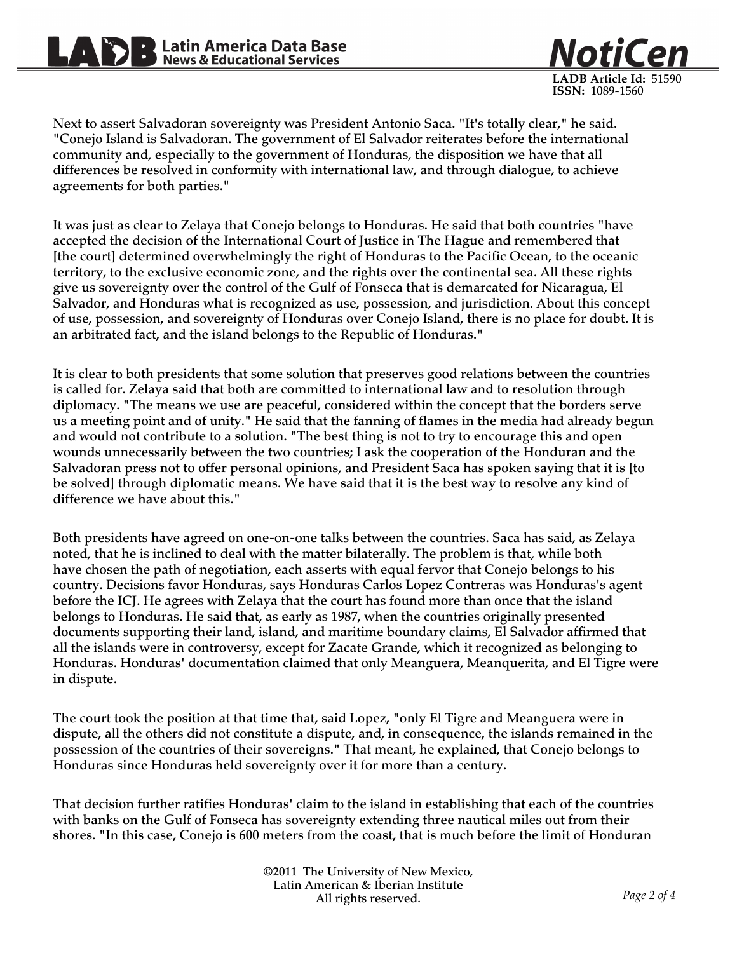# **Solution** Latin America Data Base<br>News & Educational Services

**ISSN:** 1089-1560 Next to assert Salvadoran sovereignty was President Antonio Saca. "It's totally clear," he said.

**LADB Article Id:** 51590

NotiCe

"Conejo Island is Salvadoran. The government of El Salvador reiterates before the international community and, especially to the government of Honduras, the disposition we have that all differences be resolved in conformity with international law, and through dialogue, to achieve agreements for both parties."

It was just as clear to Zelaya that Conejo belongs to Honduras. He said that both countries "have accepted the decision of the International Court of Justice in The Hague and remembered that [the court] determined overwhelmingly the right of Honduras to the Pacific Ocean, to the oceanic territory, to the exclusive economic zone, and the rights over the continental sea. All these rights give us sovereignty over the control of the Gulf of Fonseca that is demarcated for Nicaragua, El Salvador, and Honduras what is recognized as use, possession, and jurisdiction. About this concept of use, possession, and sovereignty of Honduras over Conejo Island, there is no place for doubt. It is an arbitrated fact, and the island belongs to the Republic of Honduras."

It is clear to both presidents that some solution that preserves good relations between the countries is called for. Zelaya said that both are committed to international law and to resolution through diplomacy. "The means we use are peaceful, considered within the concept that the borders serve us a meeting point and of unity." He said that the fanning of flames in the media had already begun and would not contribute to a solution. "The best thing is not to try to encourage this and open wounds unnecessarily between the two countries; I ask the cooperation of the Honduran and the Salvadoran press not to offer personal opinions, and President Saca has spoken saying that it is [to be solved] through diplomatic means. We have said that it is the best way to resolve any kind of difference we have about this."

Both presidents have agreed on one-on-one talks between the countries. Saca has said, as Zelaya noted, that he is inclined to deal with the matter bilaterally. The problem is that, while both have chosen the path of negotiation, each asserts with equal fervor that Conejo belongs to his country. Decisions favor Honduras, says Honduras Carlos Lopez Contreras was Honduras's agent before the ICJ. He agrees with Zelaya that the court has found more than once that the island belongs to Honduras. He said that, as early as 1987, when the countries originally presented documents supporting their land, island, and maritime boundary claims, El Salvador affirmed that all the islands were in controversy, except for Zacate Grande, which it recognized as belonging to Honduras. Honduras' documentation claimed that only Meanguera, Meanquerita, and El Tigre were in dispute.

The court took the position at that time that, said Lopez, "only El Tigre and Meanguera were in dispute, all the others did not constitute a dispute, and, in consequence, the islands remained in the possession of the countries of their sovereigns." That meant, he explained, that Conejo belongs to Honduras since Honduras held sovereignty over it for more than a century.

That decision further ratifies Honduras' claim to the island in establishing that each of the countries with banks on the Gulf of Fonseca has sovereignty extending three nautical miles out from their shores. "In this case, Conejo is 600 meters from the coast, that is much before the limit of Honduran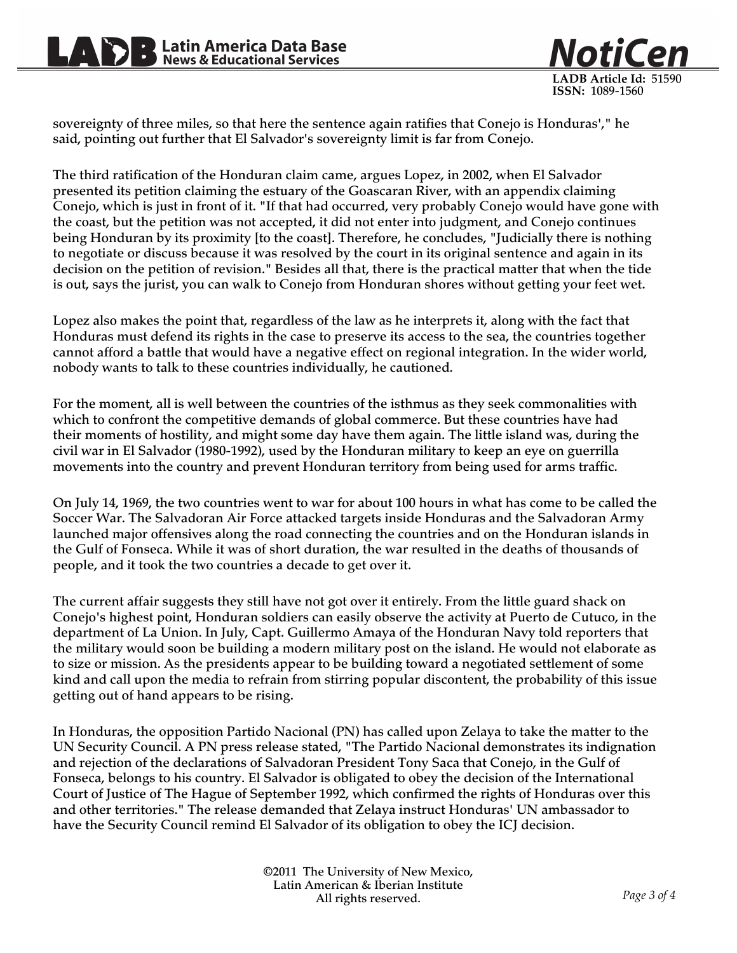

sovereignty of three miles, so that here the sentence again ratifies that Conejo is Honduras'," he said, pointing out further that El Salvador's sovereignty limit is far from Conejo.

The third ratification of the Honduran claim came, argues Lopez, in 2002, when El Salvador presented its petition claiming the estuary of the Goascaran River, with an appendix claiming Conejo, which is just in front of it. "If that had occurred, very probably Conejo would have gone with the coast, but the petition was not accepted, it did not enter into judgment, and Conejo continues being Honduran by its proximity [to the coast]. Therefore, he concludes, "Judicially there is nothing to negotiate or discuss because it was resolved by the court in its original sentence and again in its decision on the petition of revision." Besides all that, there is the practical matter that when the tide is out, says the jurist, you can walk to Conejo from Honduran shores without getting your feet wet.

Lopez also makes the point that, regardless of the law as he interprets it, along with the fact that Honduras must defend its rights in the case to preserve its access to the sea, the countries together cannot afford a battle that would have a negative effect on regional integration. In the wider world, nobody wants to talk to these countries individually, he cautioned.

For the moment, all is well between the countries of the isthmus as they seek commonalities with which to confront the competitive demands of global commerce. But these countries have had their moments of hostility, and might some day have them again. The little island was, during the civil war in El Salvador (1980-1992), used by the Honduran military to keep an eye on guerrilla movements into the country and prevent Honduran territory from being used for arms traffic.

On July 14, 1969, the two countries went to war for about 100 hours in what has come to be called the Soccer War. The Salvadoran Air Force attacked targets inside Honduras and the Salvadoran Army launched major offensives along the road connecting the countries and on the Honduran islands in the Gulf of Fonseca. While it was of short duration, the war resulted in the deaths of thousands of people, and it took the two countries a decade to get over it.

The current affair suggests they still have not got over it entirely. From the little guard shack on Conejo's highest point, Honduran soldiers can easily observe the activity at Puerto de Cutuco, in the department of La Union. In July, Capt. Guillermo Amaya of the Honduran Navy told reporters that the military would soon be building a modern military post on the island. He would not elaborate as to size or mission. As the presidents appear to be building toward a negotiated settlement of some kind and call upon the media to refrain from stirring popular discontent, the probability of this issue getting out of hand appears to be rising.

In Honduras, the opposition Partido Nacional (PN) has called upon Zelaya to take the matter to the UN Security Council. A PN press release stated, "The Partido Nacional demonstrates its indignation and rejection of the declarations of Salvadoran President Tony Saca that Conejo, in the Gulf of Fonseca, belongs to his country. El Salvador is obligated to obey the decision of the International Court of Justice of The Hague of September 1992, which confirmed the rights of Honduras over this and other territories." The release demanded that Zelaya instruct Honduras' UN ambassador to have the Security Council remind El Salvador of its obligation to obey the ICJ decision.